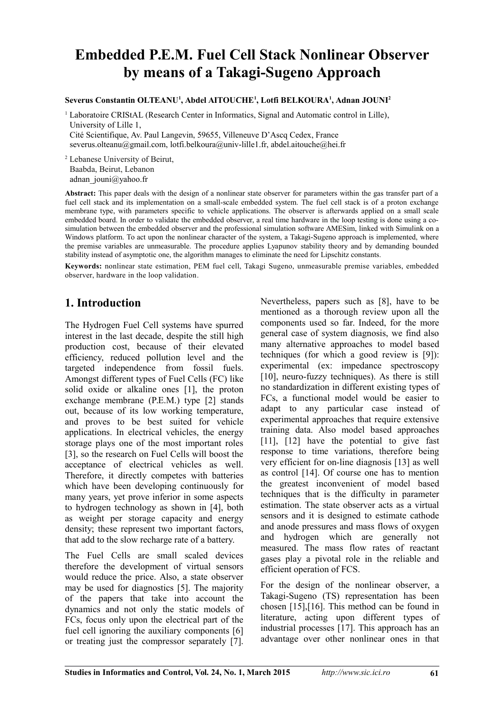# **Embedded P.E.M. Fuel Cell Stack Nonlinear Observer by means of a Takagi-Sugeno Approach**

#### **Severus Constantin OLTEANU<sup>1</sup> , Abdel AITOUCHE<sup>1</sup> , Lotfi BELKOURA<sup>1</sup> , Adnan JOUNI<sup>2</sup>**

<sup>1</sup> Laboratoire CRIStAL (Research Center in Informatics, Signal and Automatic control in Lille), University of Lille 1, Cité Scientifique, Av. Paul Langevin, 59655, Villeneuve D'Ascq Cedex, France severus.olteanu@gmail.com, lotfi.belkoura@univ-lille1.fr, abdel.aitouche@hei.fr

<sup>2</sup> Lebanese University of Beirut, Baabda, Beirut, Lebanon adnan\_jouni@yahoo.fr

**Abstract:** This paper deals with the design of a nonlinear state observer for parameters within the gas transfer part of a fuel cell stack and its implementation on a small-scale embedded system. The fuel cell stack is of a proton exchange membrane type, with parameters specific to vehicle applications. The observer is afterwards applied on a small scale embedded board. In order to validate the embedded observer, a real time hardware in the loop testing is done using a cosimulation between the embedded observer and the professional simulation software AMESim, linked with Simulink on a Windows platform. To act upon the nonlinear character of the system, a Takagi-Sugeno approach is implemented, where the premise variables are unmeasurable. The procedure applies Lyapunov stability theory and by demanding bounded stability instead of asymptotic one, the algorithm manages to eliminate the need for Lipschitz constants.

**Keywords:** nonlinear state estimation, PEM fuel cell, Takagi Sugeno, unmeasurable premise variables, embedded observer, hardware in the loop validation.

# **1. Introduction**

The Hydrogen Fuel Cell systems have spurred interest in the last decade, despite the still high production cost, because of their elevated efficiency, reduced pollution level and the targeted independence from fossil fuels. Amongst different types of Fuel Cells (FC) like solid oxide or alkaline ones [1], the proton exchange membrane (P.E.M.) type [2] stands out, because of its low working temperature, and proves to be best suited for vehicle applications. In electrical vehicles, the energy storage plays one of the most important roles [3], so the research on Fuel Cells will boost the acceptance of electrical vehicles as well. Therefore, it directly competes with batteries which have been developing continuously for many years, yet prove inferior in some aspects to hydrogen technology as shown in [4], both as weight per storage capacity and energy density; these represent two important factors, that add to the slow recharge rate of a battery.

The Fuel Cells are small scaled devices therefore the development of virtual sensors would reduce the price. Also, a state observer may be used for diagnostics [5]. The majority of the papers that take into account the dynamics and not only the static models of FCs, focus only upon the electrical part of the fuel cell ignoring the auxiliary components [6] or treating just the compressor separately [7].

Nevertheless, papers such as [8], have to be mentioned as a thorough review upon all the components used so far. Indeed, for the more general case of system diagnosis, we find also many alternative approaches to model based techniques (for which a good review is [9]): experimental (ex: impedance spectroscopy [10], neuro-fuzzy techniques). As there is still no standardization in different existing types of FCs, a functional model would be easier to adapt to any particular case instead of experimental approaches that require extensive training data. Also model based approaches [11], [12] have the potential to give fast response to time variations, therefore being very efficient for on-line diagnosis [13] as well as control [14]. Of course one has to mention the greatest inconvenient of model based techniques that is the difficulty in parameter estimation. The state observer acts as a virtual sensors and it is designed to estimate cathode and anode pressures and mass flows of oxygen and hydrogen which are generally not measured. The mass flow rates of reactant gases play a pivotal role in the reliable and efficient operation of FCS.

For the design of the nonlinear observer, a Takagi-Sugeno (TS) representation has been chosen [15],[16]. This method can be found in literature, acting upon different types of industrial processes [17]. This approach has an advantage over other nonlinear ones in that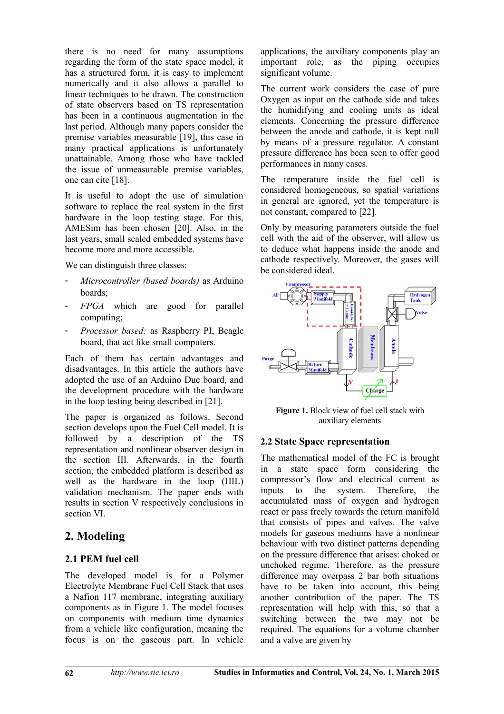there is no need for many assumptions regarding the form of the state space model, it has a structured form, it is easy to implement numerically and it also allows a parallel to linear techniques to be drawn. The construction of state observers based on TS representation has been in a continuous augmentation in the last period. Although many papers consider the premise variables measurable [19], this case in many practical applications is unfortunately unattainable. Among those who have tackled the issue of unmeasurable premise variables, one can cite [18].

It is useful to adopt the use of simulation software to replace the real system in the first hardware in the loop testing stage. For this, AMESim has been chosen [20]. Also, in the last years, small scaled embedded systems have become more and more accessible.

We can distinguish three classes:

- *Microcontroller (based boards)* as Arduino boards;
- *FPGA* which are good for parallel computing;
- *Processor based:* as Raspberry PI, Beagle board, that act like small computers.

Each of them has certain advantages and disadvantages. In this article the authors have adopted the use of an Arduino Due board, and the development procedure with the hardware in the loop testing being described in [21].

The paper is organized as follows. Second section develops upon the Fuel Cell model. It is followed by a description of the TS representation and nonlinear observer design in the section III. Afterwards, in the fourth section, the embedded platform is described as well as the hardware in the loop (HIL) validation mechanism. The paper ends with results in section V respectively conclusions in section VI.

# **2. Modeling**

### **2.1 PEM fuel cell**

The developed model is for a Polymer Electrolyte Membrane Fuel Cell Stack that uses a Nafion 117 membrane, integrating auxiliary components as in Figure 1. The model focuses on components with medium time dynamics from a vehicle like configuration, meaning the focus is on the gaseous part. In vehicle

applications, the auxiliary components play an important role, as the piping occupies significant volume.

The current work considers the case of pure Oxygen as input on the cathode side and takes the humidifying and cooling units as ideal elements. Concerning the pressure difference between the anode and cathode, it is kept null by means of a pressure regulator. A constant pressure difference has been seen to offer good performances in many cases.

The temperature inside the fuel cell is considered homogeneous, so spatial variations in general are ignored, yet the temperature is not constant, compared to [22].

Only by measuring parameters outside the fuel cell with the aid of the observer, will allow us to deduce what happens inside the anode and cathode respectively. Moreover, the gases will be considered ideal.



**Figure 1.** Block view of fuel cell stack with auxiliary elements

### **2.2 State Space representation**

The mathematical model of the FC is brought in a state space form considering the compressor's flow and electrical current as inputs to the system. Therefore, the accumulated mass of oxygen and hydrogen react or pass freely towards the return manifold that consists of pipes and valves. The valve models for gaseous mediums have a nonlinear behaviour with two distinct patterns depending on the pressure difference that arises: choked or unchoked regime. Therefore, as the pressure difference may overpass 2 bar both situations have to be taken into account, this being another contribution of the paper. The TS representation will help with this, so that a switching between the two may not be required. The equations for a volume chamber and a valve are given by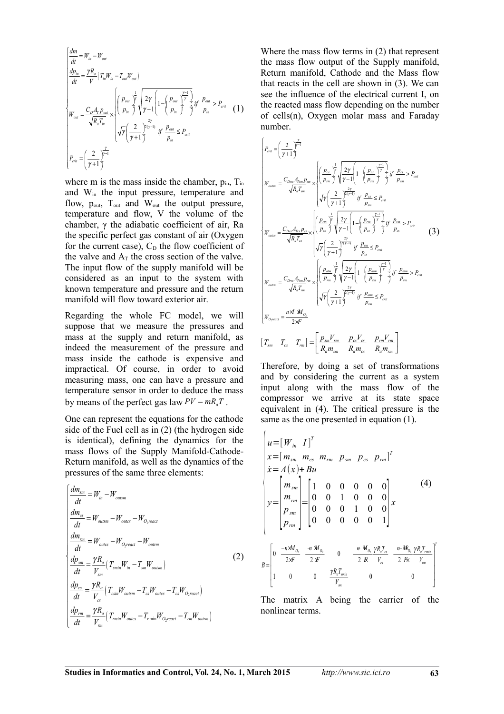$$
\begin{cases}\n\frac{dm}{dt} = W_{in} - W_{out} \\
\frac{dp_{in}}{dt} = \frac{\gamma R_{a}}{V} (T_{in} W_{in} - T_{out} W_{out}) \\
W_{out} = \frac{C_{D} A_{T} p_{out}}{\sqrt{R_{a} T_{in}}} \times \begin{cases}\n\left(\frac{p_{out}}{p_{in}}\right)^{\frac{1}{\gamma}} \sqrt{\frac{2\gamma}{\gamma - 1}} \left(1 - \left(\frac{p_{out}}{p_{in}}\right)^{\frac{\gamma - 1}{\gamma}} \right) \mathbf{i} \mathbf{f} \frac{p_{out}}{p_{in}} > P_{crit} \\
\sqrt{\gamma} \left(\frac{2}{\gamma + 1} \right)^{\frac{2\gamma}{\gamma}} \mathbf{j} \mathbf{f} \frac{p_{out}}{p_{in}} \le P_{crit} \\
P_{out} = \left(\frac{2}{\gamma + 1} \right)^{\frac{\gamma}{\gamma - 1}}\n\end{cases}
$$
\n(1)

where m is the mass inside the chamber,  $p_{in}$ ,  $T_{in}$ and Win the input pressure, temperature and flow,  $p_{out}$ ,  $T_{out}$  and  $W_{out}$  the output pressure, temperature and flow, V the volume of the chamber, γ the adiabatic coefficient of air, Ra the specific perfect gas constant of air (Oxygen for the current case),  $C_D$  the flow coefficient of the valve and  $A_T$  the cross section of the valve. The input flow of the supply manifold will be considered as an input to the system with known temperature and pressure and the return manifold will flow toward exterior air.

Regarding the whole FC model, we will suppose that we measure the pressures and mass at the supply and return manifold, as indeed the measurement of the pressure and mass inside the cathode is expensive and impractical. Of course, in order to avoid measuring mass, one can have a pressure and temperature sensor in order to deduce the mass by means of the perfect gas law  $PV = mR_aT$ .

One can represent the equations for the cathode side of the Fuel cell as in (2) (the hydrogen side is identical), defining the dynamics for the mass flows of the Supply Manifold-Cathode-Return manifold, as well as the dynamics of the pressures of the same three elements:

$$
\begin{cases}\n\frac{dm_{sm}}{dt} = W_{in} - W_{outsm} \\
\frac{dm_{cs}}{dt} = W_{outsm} - W_{outs} - W_{O_2react} \\
\frac{dm_{rm}}{dt} = W_{outs} - W_{O_2react} - W_{outrm} \\
\frac{dp_{sm}}{dt} = \frac{\gamma R_a}{V_{sm}} (T_{smin} W_{in} - T_{sm} W_{outsm}) \\
\frac{dp_{cs}}{dt} = \frac{\gamma R_a}{V_{cs}} (T_{csin} W_{outsm} - T_{cs} W_{outcs} - T_{cs} W_{O_2react}) \\
\frac{dp_{rm}}{dt} = \frac{\gamma R_a}{V_{cm}} (T_{rmin} W_{outcs} - T_{rmin} W_{O_2react} - T_{rm} W_{outrm})\n\end{cases}
$$
\n(2)

Where the mass flow terms in (2) that represent the mass flow output of the Supply manifold, Return manifold, Cathode and the Mass flow that reacts in the cell are shown in (3). We can see the influence of the electrical current I, on the reacted mass flow depending on the number of cells(n), Oxygen molar mass and Faraday number.

$$
\begin{cases}\nP_{out} = \left(\frac{2}{\gamma + 1}\right)^{\frac{\gamma}{\gamma - 1}} \\
W_{out, m} = \frac{C_{Dum} A_{T, m} P_{sm}}{\sqrt{R_a T_{sm}}} \times \begin{cases}\nP_{ex} \frac{1}{\gamma} \sqrt{\frac{2 \gamma}{\gamma - 1} \left(1 - \left(\frac{P_{ex}}{P_{sm}}\right)^{\frac{\gamma - 1}{\gamma}} \frac{1}{\gamma} \, \, \, \, \, \frac{P_{ex}}{P_{sm}} > P_{crit}\n\end{cases} \\
W_{out, m} = \frac{C_{Dum} A_{T, m} P_{sm}}{\sqrt{R_a T_{sm}}} \times \begin{cases}\nP_{ex} \frac{1}{\gamma} \sqrt{\frac{2 \gamma}{\gamma - 1} \left(1 - \left(\frac{P_{ex}}{P_{sm}}\right)^{\frac{\gamma - 1}{\gamma}} \frac{1}{\gamma} \, \, \, \, \frac{P_{ex}}{P_{sm}} > P_{crit}\n\end{cases}\n\end{cases}
$$
\n
$$
W_{out, m} = \frac{C_{Dcs} A_{T, \alpha} P_{ex}}{\sqrt{R_a T_{cs}}} \times \begin{cases}\nP_{ex} \frac{1}{\gamma} \sqrt{\frac{2 \gamma}{\gamma - 1} \left(1 - \left(\frac{P_{cm}}{P_{cs}}\right)^{\frac{\gamma - 1}{\gamma}} \frac{1}{\gamma} \, \, \, \, \, \frac{P_{cm}}{P_{cs}} > P_{crit}\n\end{cases}
$$
\n
$$
W_{out, m} = \frac{C_{Dum} A_{T, m} P_{cm}}{\sqrt{R_a T_m}} \times \begin{cases}\nP_{am} \frac{1}{\gamma} \sqrt{\frac{2 \gamma}{\gamma - 1} \left(1 - \left(\frac{P_{am}}{P_{cm}}\right)^{\frac{\gamma - 1}{\gamma}} \frac{1}{\gamma} \, \, \, \, \frac{P_{cm}}{P_{cm}} > P_{crit}\n\end{cases}
$$
\n
$$
W_{out, m} = \frac{C_{Dum} A_{T, m} P_{cm}}{\sqrt{R_a T_m}} \times \begin{cases}\nP_{am} \frac{1}{\gamma} \sqrt{\frac{2 \gamma}{\gamma - 1} \left(1 - \left(\frac{P_{am}}{P_{cm}}\right)^{\frac{\gamma - 1}{\gamma}} \frac{1}{\gamma} \, \, \, \frac{
$$

Therefore, by doing a set of transformations and by considering the current as a system input along with the mass flow of the compressor we arrive at its state space equivalent in (4). The critical pressure is the same as the one presented in equation (1).

$$
\begin{bmatrix}\n u = [W_{in} \ I]^T \\
 x = [m_{sm} \ m_{cs} \ m_{rm} \ p_{sm} \ p_{sm} \ p_{cs} \ p_{rm}^T\n\end{bmatrix}^T
$$
\n
$$
\begin{bmatrix}\n x = A(x) + Bu \\
 x = A(x) + Bu \\
 m_{rm}^T\n\end{bmatrix} = \begin{bmatrix}\n 1 & 0 & 0 & 0 & 0 & 0 \\
 0 & 0 & 1 & 0 & 0 & 0 \\
 0 & 0 & 0 & 1 & 0 & 0 \\
 0 & 0 & 0 & 0 & 0 & 1\n\end{bmatrix}^T
$$
\n
$$
B = \begin{bmatrix}\n 0 & \frac{-n M_{0_1}}{2\pi} & \frac{\pi M_{0_2}}{2\pi} & 0 & \frac{\pi M_{0_1}}{2\pi} \frac{\gamma R_a T_{\text{cm}}}{V_{cs}} & \frac{n - M_{0_2}}{2\pi} \frac{\gamma R_a T_{\text{cm}}}{V_{\text{cm}}}\n\end{bmatrix}^T
$$
\n
$$
B = \begin{bmatrix}\n 0 & \frac{-n M_{0_2}}{2\pi} & \frac{\pi M_{0_2}}{2\pi} & 0 & \frac{\pi M_{0_2}}{2\pi} \frac{\gamma R_a T_{\text{cm}}}{V_{cs}} & \frac{n - M_{0_2}}{2\pi} \frac{\gamma R_a T_{\text{cm}}}{V_{\text{cm}}}\n\end{bmatrix}^T
$$

The matrix A being the carrier of the nonlinear terms.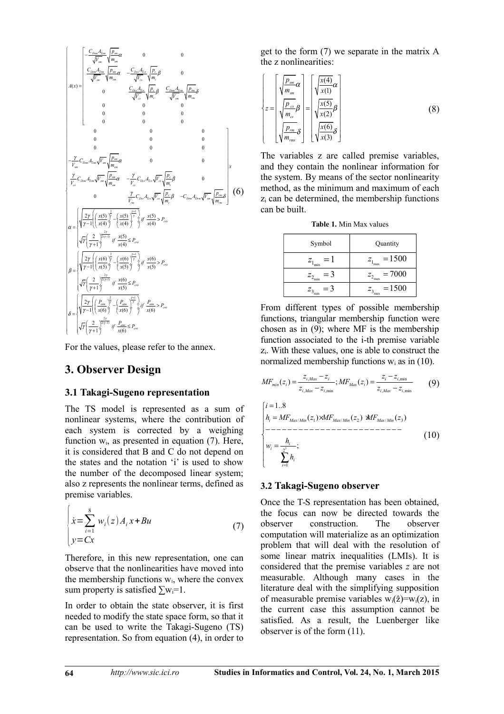

For the values, please refer to the annex.

### **3. Observer Design**

#### **3.1 Takagi-Sugeno representation**

The TS model is represented as a sum of nonlinear systems, where the contribution of each system is corrected by a weighing function  $w_i$ , as presented in equation (7). Here, it is considered that B and C do not depend on the states and the notation 'i' is used to show the number of the decomposed linear system; also z represents the nonlinear terms, defined as premise variables.

$$
\begin{cases}\n\dot{x} = \sum_{i=1}^{8} w_i(z) A_i x + Bu \\
y = Cx\n\end{cases}
$$
\n(7)

Therefore, in this new representation, one can observe that the nonlinearities have moved into the membership functions  $w_i$ , where the convex sum property is satisfied  $\sum w_i = 1$ .

In order to obtain the state observer, it is first needed to modify the state space form, so that it can be used to write the Takagi-Sugeno (TS) representation. So from equation (4), in order to

get to the form (7) we separate in the matrix A the z nonlinearities:

$$
\begin{Bmatrix}\n\zeta = \begin{bmatrix}\n\sqrt{\frac{P_{sm}}{m_{sm}}}\alpha \\
\frac{P_{\infty}}{\sqrt{\frac{P_{\infty}}{m_{cs}}}}\beta \\
\frac{P_{\infty}}{\sqrt{\frac{P_{sm}}{m_{sm}}}}\delta\n\end{bmatrix} = \begin{bmatrix}\n\sqrt{\frac{x(4)}{x(1)}}\alpha \\
\sqrt{\frac{x(5)}{x(2)}}\beta \\
\sqrt{\frac{x(6)}{x(3)}}\delta\n\end{bmatrix}
$$
\n(8)

The variables z are called premise variables, and they contain the nonlinear information for the system. By means of the sector nonlinearity method, as the minimum and maximum of each zi can be determined, the membership functions can be built.

| <b>Table 1.</b> Min Max values |  |  |  |
|--------------------------------|--|--|--|
|                                |  |  |  |

| Symbol | Quantity          |
|--------|-------------------|
| $=$ 1  | $=1500$           |
| min    | max               |
| $=$ 3  | $= 7000$          |
| min    | $\epsilon_{\max}$ |
| $=$ 3  | $=1500$           |

From different types of possible membership functions, triangular membership function were chosen as in (9); where MF is the membership function associated to the i-th premise variable zi. With these values, one is able to construct the normalized membership functions  $w_i$  as in (10).

, ,min , ,min , ,min ( ) ; ( ) *i Max i i i min i Max i i Max i i Max i z z z z MF z MF z z z z z* − − = = − − (9) 3 / 1 / 2 / 3 2 1 1..8 ( ) ( ) ( ) ; *i Max Min Max Min Max Min i i i i i h MF z MF z MF z h w h* = = = × × − − − − − − − − − − − − − − − − − − − − − − − − − = ∑ (10)

#### **3.2 Takagi-Sugeno observer**

Once the T-S representation has been obtained, the focus can now be directed towards the observer construction. The observer computation will materialize as an optimization problem that will deal with the resolution of some linear matrix inequalities (LMIs). It is considered that the premise variables *z* are not measurable. Although many cases in the literature deal with the simplifying supposition of measurable premise variables  $w_i(\hat{z})=w_i(z)$ , in the current case this assumption cannot be satisfied. As a result, the Luenberger like observer is of the form (11).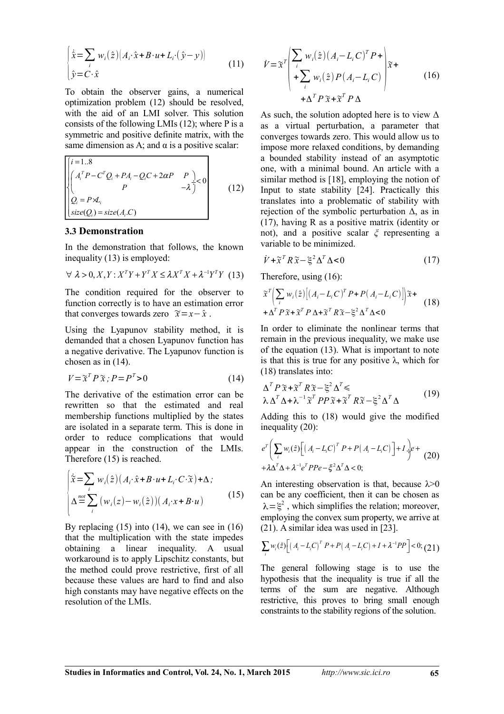$$
\begin{cases} \dot{\hat{x}} = \sum_{i} w_i(\hat{z}) \big( A_i \cdot \hat{x} + B \cdot u + L_i \cdot (\hat{y} - y) \big) \\ \hat{y} = C \cdot \hat{x} \end{cases}
$$
\n(11)

To obtain the observer gains, a numerical optimization problem (12) should be resolved, with the aid of an LMI solver. This solution consists of the following LMIs (12); where P is a symmetric and positive definite matrix, with the same dimension as A; and  $\alpha$  is a positive scalar:

$$
\begin{bmatrix}\ni=1..8\\
\begin{pmatrix}A_i^T P - C^T Q_i + P A_i - Q_i C + 2\alpha P & P \\
P & -\lambda\end{pmatrix} & 0\\
Q_i = P \times I_i\\ \nsize(Q_i) = size(A_i.C)\n\end{bmatrix}
$$
\n(12)

#### **3.3 Demonstration**

In the demonstration that follows, the known inequality (13) is employed:

$$
\forall \lambda > 0, X, Y: X^T Y + Y^T X \le \lambda X^T X + \lambda^{-1} Y^T Y \tag{13}
$$

The condition required for the observer to function correctly is to have an estimation error that converges towards zero  $\widetilde{x} = x - \hat{x}$ .

Using the Lyapunov stability method, it is demanded that a chosen Lyapunov function has a negative derivative. The Lyapunov function is chosen as in (14).

$$
V = \tilde{\mathbf{x}}^T P \tilde{\mathbf{x}} \; ; P = P^T > 0 \tag{14}
$$

The derivative of the estimation error can be rewritten so that the estimated and real membership functions multiplied by the states are isolated in a separate term. This is done in order to reduce complications that would appear in the construction of the LMIs. Therefore (15) is reached.

$$
\begin{cases}\n\tilde{x} = \sum_{i} w_i(\hat{z}) \big( A_i \cdot \hat{x} + B \cdot u + L_i \cdot C \cdot \tilde{x} \big) + \Delta, \\
\Delta \stackrel{not}{=} \sum_{i} \big( w_i(z) - w_i(\hat{z}) \big) \big( A_i \cdot x + B \cdot u \big)\n\end{cases} \tag{15}
$$

By replacing  $(15)$  into  $(14)$ , we can see in  $(16)$ that the multiplication with the state impedes obtaining a linear inequality. A usual workaround is to apply Lipschitz constants, but the method could prove restrictive, first of all because these values are hard to find and also high constants may have negative effects on the resolution of the LMIs.

$$
\dot{V} = \tilde{\chi}^T \left( \sum_i w_i(\hat{z}) (A_i - L_i C)^T P + \n+ \sum_i w_i(\hat{z}) P (A_i - L_i C) \right) \tilde{\chi} +\n+ \Delta^T P \tilde{\chi} + \tilde{\chi}^T P \Delta
$$
\n(16)

As such, the solution adopted here is to view  $\Delta$ as a virtual perturbation, a parameter that converges towards zero. This would allow us to impose more relaxed conditions, by demanding a bounded stability instead of an asymptotic one, with a minimal bound. An article with a similar method is [18], employing the notion of Input to state stability [24]. Practically this translates into a problematic of stability with rejection of the symbolic perturbation  $\Delta$ , as in (17), having R as a positive matrix (identity or not), and a positive scalar *ξ* representing a variable to be minimized.

$$
\dot{V} + \tilde{\chi}^T R \tilde{\chi} - \xi^2 \Delta^T \Delta < 0 \tag{17}
$$

Therefore, using (16):

$$
\tilde{x}^{T} \Biggl( \sum_{i} w_{i}(\hat{z}) \Bigl[ \bigl( A_{i} - L_{i} C \bigr)^{T} P + P \bigl( A_{i} - L_{i} C \bigr) \Bigr] \Bigr) \tilde{x} + \n+ \Delta^{T} P \tilde{x} + \tilde{x}^{T} P \Delta + \tilde{x}^{T} R \tilde{x} - \xi^{2} \Delta^{T} \Delta < 0
$$
\n(18)

In order to eliminate the nonlinear terms that remain in the previous inequality, we make use of the equation (13). What is important to note is that this is true for any positive  $\lambda$ , which for (18) translates into:

$$
\Delta^T P \tilde{\mathbf{x}} + \tilde{\mathbf{x}}^T R \tilde{\mathbf{x}} - \xi^2 \Delta^T \le \lambda \Delta^T \Delta + \lambda^{-1} \tilde{\mathbf{x}}^T P P \tilde{\mathbf{x}} + \tilde{\mathbf{x}}^T R \tilde{\mathbf{x}} - \xi^2 \Delta^T \Delta \tag{19}
$$

Adding this to (18) would give the modified inequality (20):

$$
e^T \left( \sum_i w_i(\hat{z}) \left[ \left( A_i - L_i C \right)^T P + P \left( A_i - L_i C \right) \right] + I \frac{1}{j} e + \frac{1}{2} A \Delta^T \Delta + \lambda^{-1} e^T P P e - \xi^2 \Delta^T \Delta < 0;
$$
\n(20)

An interesting observation is that, because  $\lambda > 0$ can be any coefficient, then it can be chosen as  $\lambda = \xi^2$ , which simplifies the relation; moreover, employing the convex sum property, we arrive at (21). A similar idea was used in [23].

$$
\sum_{i} w_i(\hat{z}) \Big[ \big(A_i - L_i C\big)^T P + P\big(A_i - L_i C\big) + I + \lambda^{-1} P P \Big] < 0; (21)
$$

The general following stage is to use the hypothesis that the inequality is true if all the terms of the sum are negative. Although restrictive, this proves to bring small enough constraints to the stability regions of the solution.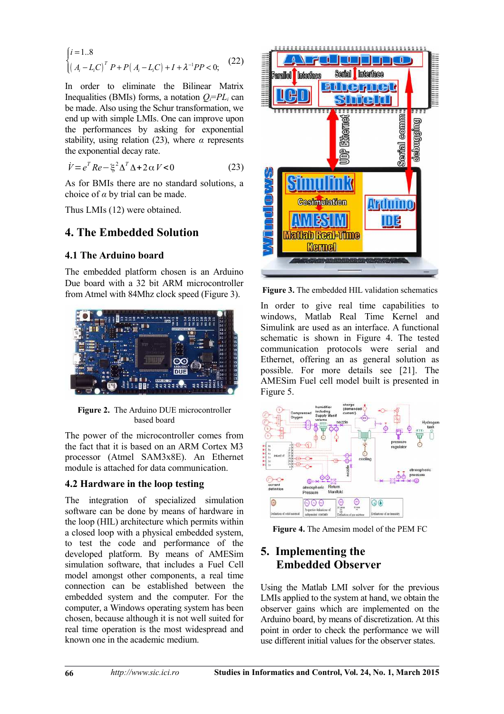$$
\begin{cases} i = 1..8\\ \left(A_i - L_i C\right)^T P + P\left(A_i - L_i C\right) + I + \lambda^{-1} P P < 0; \end{cases} \tag{22}
$$

In order to eliminate the Bilinear Matrix Inequalities (BMIs) forms, a notation  $Q_i = PL_i$  can be made. Also using the Schur transformation, we end up with simple LMIs. One can improve upon the performances by asking for exponential stability, using relation (23), where *α* represents the exponential decay rate.

$$
\dot{V} = e^T Re - \xi^2 \Delta^T \Delta + 2 \alpha V < 0 \tag{23}
$$

As for BMIs there are no standard solutions, a choice of *α* by trial can be made.

Thus LMIs (12) were obtained.

### **4. The Embedded Solution**

#### **4.1 The Arduino board**

The embedded platform chosen is an Arduino Due board with a 32 bit ARM microcontroller from Atmel with 84Mhz clock speed (Figure 3).



**Figure 2.** The Arduino DUE microcontroller based board

The power of the microcontroller comes from the fact that it is based on an ARM Cortex M3 processor (Atmel SAM3x8E). An Ethernet module is attached for data communication.

#### **4.2 Hardware in the loop testing**

The integration of specialized simulation software can be done by means of hardware in the loop (HIL) architecture which permits within a closed loop with a physical embedded system, to test the code and performance of the developed platform. By means of AMESim simulation software, that includes a Fuel Cell model amongst other components, a real time connection can be established between the embedded system and the computer. For the computer, a Windows operating system has been chosen, because although it is not well suited for real time operation is the most widespread and known one in the academic medium.



**Figure 3.** The embedded HIL validation schematics

In order to give real time capabilities to windows, Matlab Real Time Kernel and Simulink are used as an interface. A functional schematic is shown in Figure 4. The tested communication protocols were serial and Ethernet, offering an as general solution as possible. For more details see [21]. The AMESim Fuel cell model built is presented in Figure 5.



**Figure 4.** The Amesim model of the PEM FC

# **5. Implementing the Embedded Observer**

Using the Matlab LMI solver for the previous LMIs applied to the system at hand, we obtain the observer gains which are implemented on the Arduino board, by means of discretization. At this point in order to check the performance we will use different initial values for the observer states.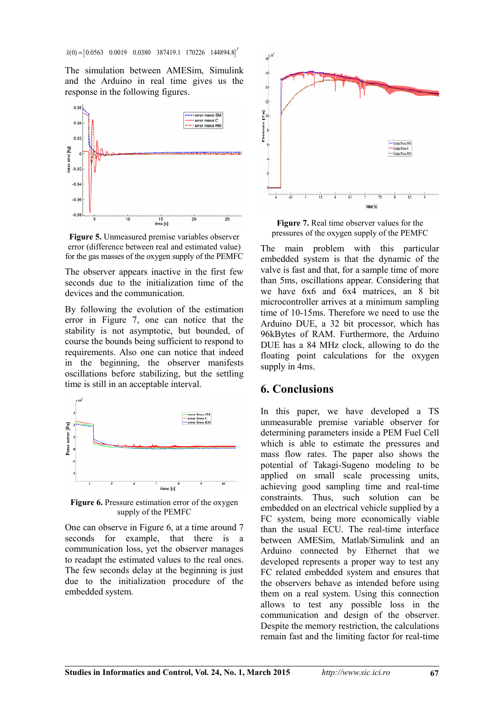The simulation between AMESim, Simulink and the Arduino in real time gives us the response in the following figures.



**Figure 5.** Unmeasured premise variables observer error (difference between real and estimated value) for the gas masses of the oxygen supply of the PEMFC

The observer appears inactive in the first few seconds due to the initialization time of the devices and the communication.

By following the evolution of the estimation error in Figure 7, one can notice that the stability is not asymptotic, but bounded, of course the bounds being sufficient to respond to requirements. Also one can notice that indeed in the beginning, the observer manifests oscillations before stabilizing, but the settling time is still in an acceptable interval.



**Figure 6.** Pressure estimation error of the oxygen supply of the PEMFC

One can observe in Figure 6, at a time around 7 seconds for example, that there is a communication loss, yet the observer manages to readapt the estimated values to the real ones. The few seconds delay at the beginning is just due to the initialization procedure of the embedded system.



**Figure 7.** Real time observer values for the pressures of the oxygen supply of the PEMFC

The main problem with this particular embedded system is that the dynamic of the valve is fast and that, for a sample time of more than 5ms, oscillations appear. Considering that we have 6x6 and 6x4 matrices, an 8 bit microcontroller arrives at a minimum sampling time of 10-15ms. Therefore we need to use the Arduino DUE, a 32 bit processor, which has 96kBytes of RAM. Furthermore, the Arduino DUE has a 84 MHz clock, allowing to do the floating point calculations for the oxygen supply in 4ms.

### **6. Conclusions**

In this paper, we have developed a TS unmeasurable premise variable observer for determining parameters inside a PEM Fuel Cell which is able to estimate the pressures and mass flow rates. The paper also shows the potential of Takagi-Sugeno modeling to be applied on small scale processing units, achieving good sampling time and real-time constraints. Thus, such solution can be embedded on an electrical vehicle supplied by a FC system, being more economically viable than the usual ECU. The real-time interface between AMESim, Matlab/Simulink and an Arduino connected by Ethernet that we developed represents a proper way to test any FC related embedded system and ensures that the observers behave as intended before using them on a real system. Using this connection allows to test any possible loss in the communication and design of the observer. Despite the memory restriction, the calculations remain fast and the limiting factor for real-time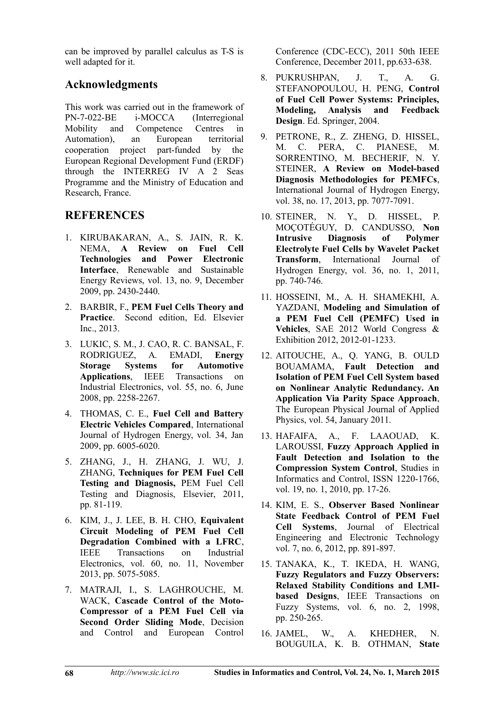can be improved by parallel calculus as T-S is well adapted for it.

# **Acknowledgments**

This work was carried out in the framework of PN-7-022-BE i-MOCCA (Interregional Mobility and Competence Centres in Automation), an European territorial cooperation project part-funded by the European Regional Development Fund (ERDF) through the INTERREG IV A 2 Seas Programme and the Ministry of Education and Research, France.

# **REFERENCES**

- 1. KIRUBAKARAN, A., S. JAIN, R. K.<br>NEMA **A Review on Fuel Cell** NEMA, **A Review Technologies and Power Electronic Interface**, Renewable and Sustainable Energy Reviews, vol. 13, no. 9, December 2009, pp. 2430-2440.
- 2. BARBIR, F., **PEM Fuel Cells Theory and Practice**. Second edition, Ed. Elsevier Inc., 2013.
- 3. LUKIC, S. M., J. CAO, R. C. BANSAL, F. RODRIGUEZ, A. EMADI, **Energy Storage Systems for Automotive Applications**, IEEE Transactions on Industrial Electronics, vol. 55, no. 6, June 2008, pp. 2258-2267.
- 4. THOMAS, C. E., **Fuel Cell and Battery Electric Vehicles Compared**, International Journal of Hydrogen Energy, vol. 34, Jan 2009, pp. 6005-6020.
- 5. ZHANG, J., H. ZHANG, J. WU, J. ZHANG, **Techniques for PEM Fuel Cell Testing and Diagnosis,** PEM Fuel Cell Testing and Diagnosis, Elsevier, 2011, pp. 81-119.
- 6. KIM, J., J. LEE, B. H. CHO, **Equivalent Circuit Modeling of PEM Fuel Cell Degradation Combined with a LFRC**, IEEE Transactions on Industrial Electronics, vol. 60, no. 11, November 2013, pp. 5075-5085.
- 7. MATRAJI, I., S. LAGHROUCHE, M. WACK, **Cascade Control of the Moto-Compressor of a PEM Fuel Cell via Second Order Sliding Mode**, Decision and Control and European Control

Conference (CDC-ECC), 2011 50th IEEE Conference, December 2011, pp.633-638.

- 8. PUKRUSHPAN, J. T., A. G. STEFANOPOULOU, H. PENG, **Control of Fuel Cell Power Systems: Principles, Modeling, Analysis and Feedback Design**. Ed. Springer, 2004.
- 9. PETRONE, R., Z. ZHENG, D. HISSEL, M. C. PERA, C. PIANESE, M. SORRENTINO, M. BECHERIF, N. Y. STEINER, **A Review on Model-based Diagnosis Methodologies for PEMFCs**, International Journal of Hydrogen Energy, vol. 38, no. 17, 2013, pp. 7077-7091.
- 10. STEINER, N. Y., D. HISSEL, P. MOÇOTÉGUY, D. CANDUSSO, **Non Intrusive Diagnosis of Polymer Electrolyte Fuel Cells by Wavelet Packet Transform**, International Journal of Hydrogen Energy, vol. 36, no. 1, 2011, pp. 740-746.
- 11. HOSSEINI, M., A. H. SHAMEKHI, A. YAZDANI, **Modeling and Simulation of a PEM Fuel Cell (PEMFC) Used in Vehicles**, SAE 2012 World Congress & Exhibition 2012, 2012-01-1233.
- 12. AITOUCHE, A., Q. YANG, B. OULD BOUAMAMA, **Fault Detection and Isolation of PEM Fuel Cell System based on Nonlinear Analytic Redundancy. An Application Via Parity Space Approach**, The European Physical Journal of Applied Physics, vol. 54, January 2011.
- 13. HAFAIFA, A., F. LAAOUAD, K. LAROUSSI, **Fuzzy Approach Applied in Fault Detection and Isolation to the Compression System Control**, Studies in Informatics and Control, ISSN 1220-1766, vol. 19, no. 1, 2010, pp. 17-26.
- 14. KIM, E. S., **Observer Based Nonlinear State Feedback Control of PEM Fuel Cell Systems**, Journal of Electrical Engineering and Electronic Technology vol. 7, no. 6, 2012, pp. 891-897.
- 15. TANAKA, K., T. IKEDA, H. WANG, **Fuzzy Regulators and Fuzzy Observers: Relaxed Stability Conditions and LMIbased Designs**, IEEE Transactions on Fuzzy Systems, vol. 6, no. 2, 1998, pp. 250-265.
- 16. JAMEL, W., A. KHEDHER, N. BOUGUILA, K. B. OTHMAN, **State**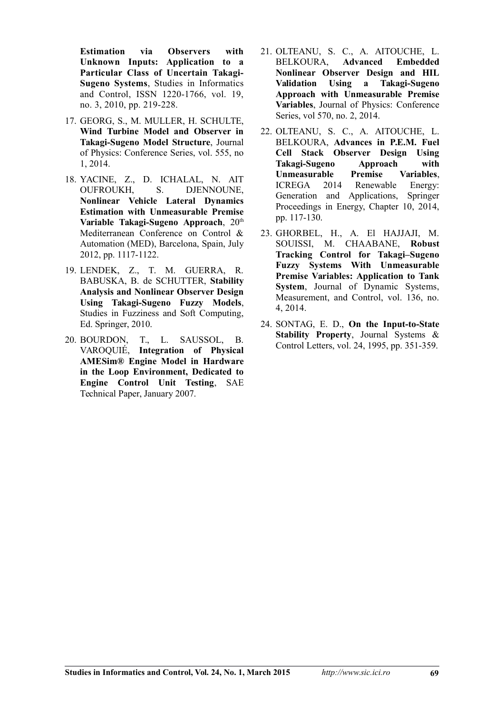**Estimation via Observers with Unknown Inputs: Application to a Particular Class of Uncertain Takagi-Sugeno Systems**, Studies in Informatics and Control, ISSN 1220-1766, vol. 19, no. 3, 2010, pp. 219-228.

- 17. GEORG, S., M. MULLER, H. SCHULTE, **Wind Turbine Model and Observer in Takagi-Sugeno Model Structure**, Journal of Physics: Conference Series, vol. 555, no 1, 2014.
- 18. YACINE, Z., D. ICHALAL, N. AIT OUFROUKH, S. DJENNOUNE, **Nonlinear Vehicle Lateral Dynamics Estimation with Unmeasurable Premise** Variable Takagi-Sugeno Approach, 20<sup>th</sup> Mediterranean Conference on Control & Automation (MED), Barcelona, Spain, July 2012, pp. 1117-1122.
- 19. LENDEK, Z., T. M. GUERRA, R. BABUSKA, B. de SCHUTTER, **Stability Analysis and Nonlinear Observer Design Using Takagi-Sugeno Fuzzy Models**, Studies in Fuzziness and Soft Computing, Ed. Springer, 2010.
- 20. BOURDON, T., L. SAUSSOL, B. VAROQUIÉ, **Integration of Physical AMESim® Engine Model in Hardware in the Loop Environment, Dedicated to Engine Control Unit Testing**, SAE Technical Paper, January 2007.
- 21. OLTEANU, S. C., A. AITOUCHE, L. BELKOURA, **Advanced Embedded Nonlinear Observer Design and HIL Validation Using a Takagi-Sugeno Approach with Unmeasurable Premise Variables**, Journal of Physics: Conference Series, vol 570, no. 2, 2014.
- 22. OLTEANU, S. C., A. AITOUCHE, L. BELKOURA, **Advances in P.E.M. Fuel Cell Stack Observer Design Using Takagi-Sugeno Approach with Unmeasurable Premise Variables**, ICREGA 2014 Renewable Energy: Generation and Applications, Springer Proceedings in Energy, Chapter 10, 2014, pp. 117-130.
- 23. GHORBEL, H., A. El HAJJAJI, M. SOUISSI, M. CHAABANE, **Robust Tracking Control for Takagi–Sugeno Fuzzy Systems With Unmeasurable Premise Variables: Application to Tank System**, Journal of Dynamic Systems, Measurement, and Control, vol. 136, no. 4, 2014.
- 24. SONTAG, E. D., **On the Input-to-State Stability Property**, Journal Systems & Control Letters, vol. 24, 1995, pp. 351-359.